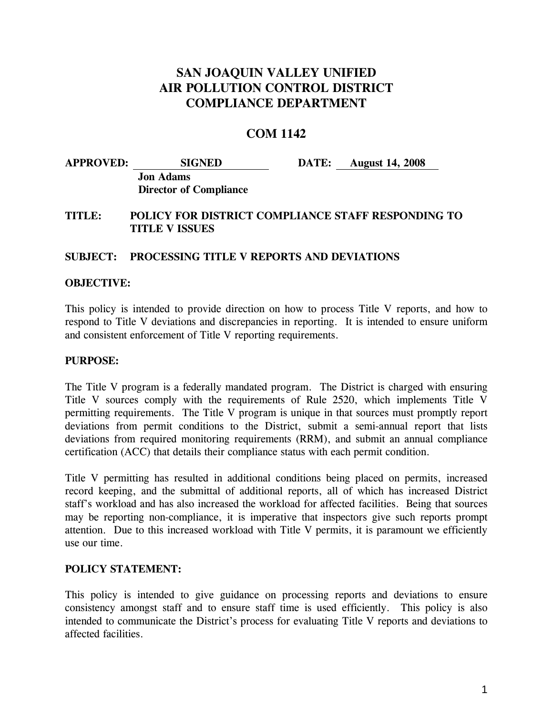# **SAN JOAQUIN VALLEY UNIFIED AIR POLLUTION CONTROL DISTRICT COMPLIANCE DEPARTMENT**

# **COM 1142**

| <b>APPROVED:</b> | <b>SIGNED</b>                                     | <b>DATE:</b> August 14, 2008 |
|------------------|---------------------------------------------------|------------------------------|
|                  | <b>Jon Adams</b><br><b>Director of Compliance</b> |                              |

## **TITLE: POLICY FOR DISTRICT COMPLIANCE STAFF RESPONDING TO TITLE V ISSUES**

#### **SUBJECT: PROCESSING TITLE V REPORTS AND DEVIATIONS**

#### **OBJECTIVE:**

This policy is intended to provide direction on how to process Title V reports, and how to respond to Title V deviations and discrepancies in reporting. It is intended to ensure uniform and consistent enforcement of Title V reporting requirements.

#### **PURPOSE:**

The Title V program is a federally mandated program. The District is charged with ensuring Title V sources comply with the requirements of Rule 2520, which implements Title V permitting requirements. The Title V program is unique in that sources must promptly report deviations from permit conditions to the District, submit a semi-annual report that lists deviations from required monitoring requirements (RRM), and submit an annual compliance certification (ACC) that details their compliance status with each permit condition.

Title V permitting has resulted in additional conditions being placed on permits, increased record keeping, and the submittal of additional reports, all of which has increased District staff's workload and has also increased the workload for affected facilities. Being that sources may be reporting non-compliance, it is imperative that inspectors give such reports prompt attention. Due to this increased workload with Title V permits, it is paramount we efficiently use our time.

#### **POLICY STATEMENT:**

This policy is intended to give guidance on processing reports and deviations to ensure consistency amongst staff and to ensure staff time is used efficiently. This policy is also intended to communicate the District's process for evaluating Title V reports and deviations to affected facilities.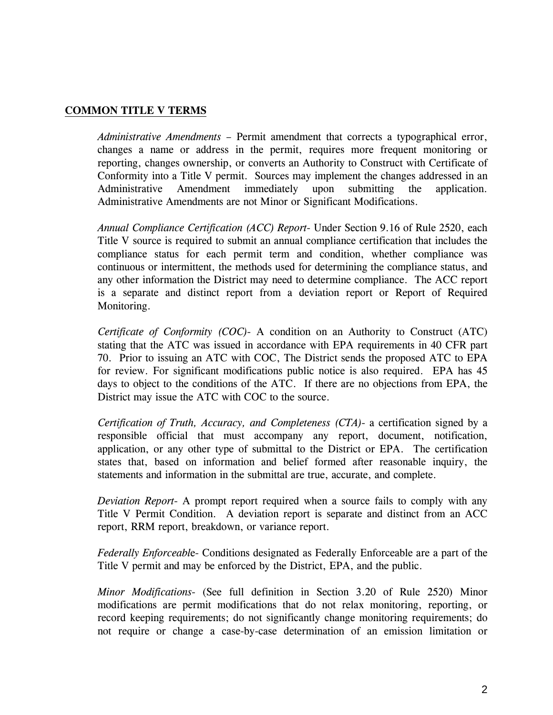## **COMMON TITLE V TERMS**

*Administrative Amendments –* Permit amendment that corrects a typographical error, changes a name or address in the permit, requires more frequent monitoring or reporting, changes ownership, or converts an Authority to Construct with Certificate of Conformity into a Title V permit. Sources may implement the changes addressed in an Administrative Amendment immediately upon submitting the application. Administrative Amendments are not Minor or Significant Modifications.

*Annual Compliance Certification (ACC) Report-* Under Section 9.16 of Rule 2520, each Title V source is required to submit an annual compliance certification that includes the compliance status for each permit term and condition, whether compliance was continuous or intermittent, the methods used for determining the compliance status, and any other information the District may need to determine compliance. The ACC report is a separate and distinct report from a deviation report or Report of Required Monitoring.

*Certificate of Conformity (COC)-* A condition on an Authority to Construct (ATC) stating that the ATC was issued in accordance with EPA requirements in 40 CFR part 70. Prior to issuing an ATC with COC, The District sends the proposed ATC to EPA for review. For significant modifications public notice is also required. EPA has 45 days to object to the conditions of the ATC. If there are no objections from EPA, the District may issue the ATC with COC to the source.

*Certification of Truth, Accuracy, and Completeness (CTA)-* a certification signed by a responsible official that must accompany any report, document, notification, application, or any other type of submittal to the District or EPA. The certification states that, based on information and belief formed after reasonable inquiry, the statements and information in the submittal are true, accurate, and complete.

*Deviation Report-* A prompt report required when a source fails to comply with any Title V Permit Condition. A deviation report is separate and distinct from an ACC report, RRM report, breakdown, or variance report.

*Federally Enforceabl*e- Conditions designated as Federally Enforceable are a part of the Title V permit and may be enforced by the District, EPA, and the public.

*Minor Modifications-* (See full definition in Section 3.20 of Rule 2520) Minor modifications are permit modifications that do not relax monitoring, reporting, or record keeping requirements; do not significantly change monitoring requirements; do not require or change a case-by-case determination of an emission limitation or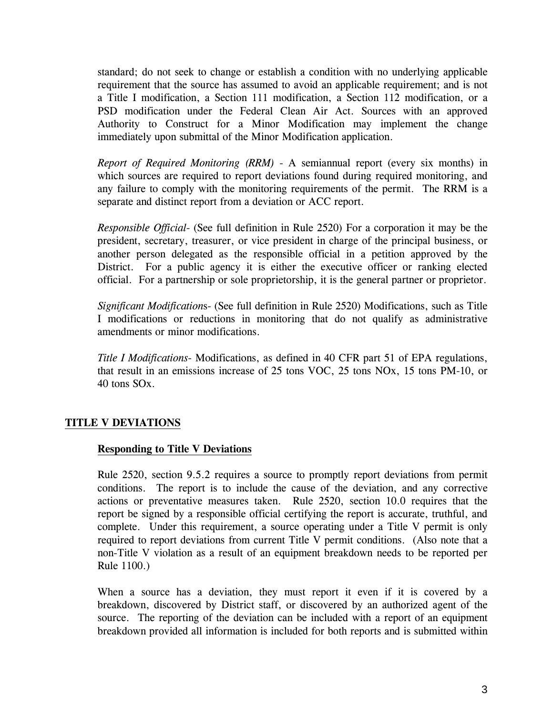standard; do not seek to change or establish a condition with no underlying applicable requirement that the source has assumed to avoid an applicable requirement; and is not a Title I modification, a Section 111 modification, a Section 112 modification, or a PSD modification under the Federal Clean Air Act. Sources with an approved Authority to Construct for a Minor Modification may implement the change immediately upon submittal of the Minor Modification application.

*Report of Required Monitoring (RRM)* - A semiannual report (every six months) in which sources are required to report deviations found during required monitoring, and any failure to comply with the monitoring requirements of the permit. The RRM is a separate and distinct report from a deviation or ACC report.

*Responsible Official*- (See full definition in Rule 2520) For a corporation it may be the president, secretary, treasurer, or vice president in charge of the principal business, or another person delegated as the responsible official in a petition approved by the District. For a public agency it is either the executive officer or ranking elected official. For a partnership or sole proprietorship, it is the general partner or proprietor.

*Significant Modification*s- (See full definition in Rule 2520) Modifications, such as Title I modifications or reductions in monitoring that do not qualify as administrative amendments or minor modifications.

*Title I Modifications-* Modifications, as defined in 40 CFR part 51 of EPA regulations, that result in an emissions increase of 25 tons VOC, 25 tons NOx, 15 tons PM-10, or 40 tons SOx.

# **TITLE V DEVIATIONS**

## **Responding to Title V Deviations**

Rule 2520, section 9.5.2 requires a source to promptly report deviations from permit conditions. The report is to include the cause of the deviation, and any corrective actions or preventative measures taken. Rule 2520, section 10.0 requires that the report be signed by a responsible official certifying the report is accurate, truthful, and complete. Under this requirement, a source operating under a Title V permit is only required to report deviations from current Title V permit conditions. (Also note that a non-Title V violation as a result of an equipment breakdown needs to be reported per Rule 1100.)

When a source has a deviation, they must report it even if it is covered by a breakdown, discovered by District staff, or discovered by an authorized agent of the source. The reporting of the deviation can be included with a report of an equipment breakdown provided all information is included for both reports and is submitted within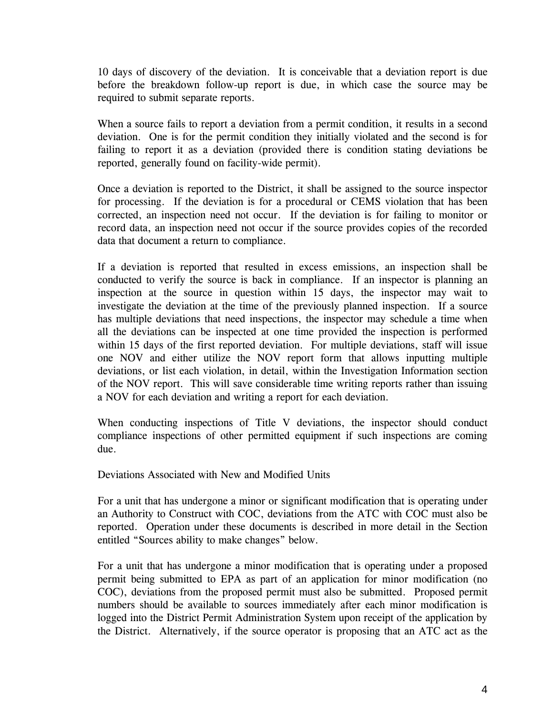10 days of discovery of the deviation. It is conceivable that a deviation report is due before the breakdown follow-up report is due, in which case the source may be required to submit separate reports.

When a source fails to report a deviation from a permit condition, it results in a second deviation. One is for the permit condition they initially violated and the second is for failing to report it as a deviation (provided there is condition stating deviations be reported, generally found on facility-wide permit).

Once a deviation is reported to the District, it shall be assigned to the source inspector for processing. If the deviation is for a procedural or CEMS violation that has been corrected, an inspection need not occur. If the deviation is for failing to monitor or record data, an inspection need not occur if the source provides copies of the recorded data that document a return to compliance.

If a deviation is reported that resulted in excess emissions, an inspection shall be conducted to verify the source is back in compliance. If an inspector is planning an inspection at the source in question within 15 days, the inspector may wait to investigate the deviation at the time of the previously planned inspection. If a source has multiple deviations that need inspections, the inspector may schedule a time when all the deviations can be inspected at one time provided the inspection is performed within 15 days of the first reported deviation. For multiple deviations, staff will issue one NOV and either utilize the NOV report form that allows inputting multiple deviations, or list each violation, in detail, within the Investigation Information section of the NOV report. This will save considerable time writing reports rather than issuing a NOV for each deviation and writing a report for each deviation.

When conducting inspections of Title V deviations, the inspector should conduct compliance inspections of other permitted equipment if such inspections are coming due.

Deviations Associated with New and Modified Units

For a unit that has undergone a minor or significant modification that is operating under an Authority to Construct with COC, deviations from the ATC with COC must also be reported. Operation under these documents is described in more detail in the Section entitled "Sources ability to make changes" below.

For a unit that has undergone a minor modification that is operating under a proposed permit being submitted to EPA as part of an application for minor modification (no COC), deviations from the proposed permit must also be submitted. Proposed permit numbers should be available to sources immediately after each minor modification is logged into the District Permit Administration System upon receipt of the application by the District. Alternatively, if the source operator is proposing that an ATC act as the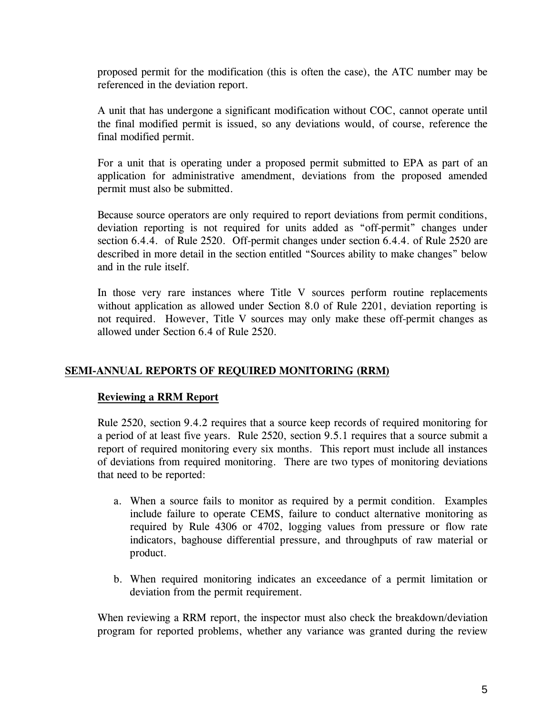proposed permit for the modification (this is often the case), the ATC number may be referenced in the deviation report.

A unit that has undergone a significant modification without COC, cannot operate until the final modified permit is issued, so any deviations would, of course, reference the final modified permit.

For a unit that is operating under a proposed permit submitted to EPA as part of an application for administrative amendment, deviations from the proposed amended permit must also be submitted.

Because source operators are only required to report deviations from permit conditions, deviation reporting is not required for units added as "off-permit" changes under section 6.4.4. of Rule 2520. Off-permit changes under section 6.4.4. of Rule 2520 are described in more detail in the section entitled "Sources ability to make changes" below and in the rule itself.

In those very rare instances where Title V sources perform routine replacements without application as allowed under Section 8.0 of Rule 2201, deviation reporting is not required. However, Title V sources may only make these off-permit changes as allowed under Section 6.4 of Rule 2520.

## **SEMI-ANNUAL REPORTS OF REQUIRED MONITORING (RRM)**

## **Reviewing a RRM Report**

Rule 2520, section 9.4.2 requires that a source keep records of required monitoring for a period of at least five years. Rule 2520, section 9.5.1 requires that a source submit a report of required monitoring every six months. This report must include all instances of deviations from required monitoring. There are two types of monitoring deviations that need to be reported:

- a. When a source fails to monitor as required by a permit condition. Examples include failure to operate CEMS, failure to conduct alternative monitoring as required by Rule 4306 or 4702, logging values from pressure or flow rate indicators, baghouse differential pressure, and throughputs of raw material or product.
- b. When required monitoring indicates an exceedance of a permit limitation or deviation from the permit requirement.

When reviewing a RRM report, the inspector must also check the breakdown/deviation program for reported problems, whether any variance was granted during the review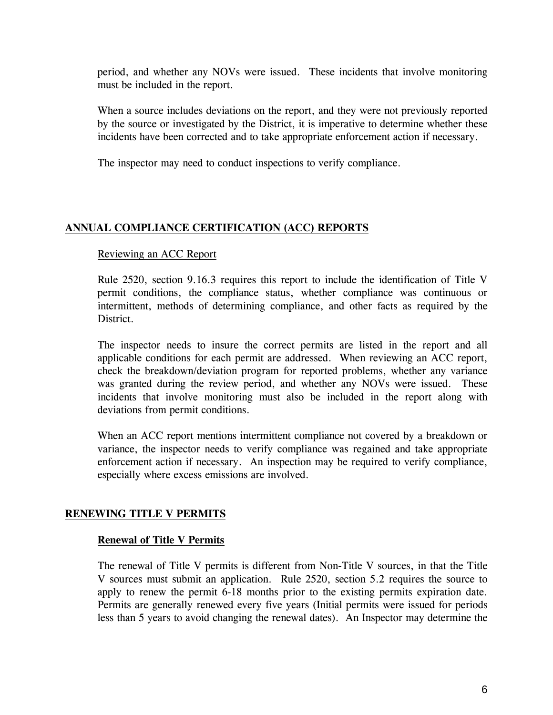period, and whether any NOVs were issued. These incidents that involve monitoring must be included in the report.

When a source includes deviations on the report, and they were not previously reported by the source or investigated by the District, it is imperative to determine whether these incidents have been corrected and to take appropriate enforcement action if necessary.

The inspector may need to conduct inspections to verify compliance.

# **ANNUAL COMPLIANCE CERTIFICATION (ACC) REPORTS**

#### Reviewing an ACC Report

Rule 2520, section 9.16.3 requires this report to include the identification of Title V permit conditions, the compliance status, whether compliance was continuous or intermittent, methods of determining compliance, and other facts as required by the District.

The inspector needs to insure the correct permits are listed in the report and all applicable conditions for each permit are addressed. When reviewing an ACC report, check the breakdown/deviation program for reported problems, whether any variance was granted during the review period, and whether any NOVs were issued. These incidents that involve monitoring must also be included in the report along with deviations from permit conditions.

When an ACC report mentions intermittent compliance not covered by a breakdown or variance, the inspector needs to verify compliance was regained and take appropriate enforcement action if necessary. An inspection may be required to verify compliance, especially where excess emissions are involved.

## **RENEWING TITLE V PERMITS**

#### **Renewal of Title V Permits**

The renewal of Title V permits is different from Non-Title V sources, in that the Title V sources must submit an application. Rule 2520, section 5.2 requires the source to apply to renew the permit 6-18 months prior to the existing permits expiration date. Permits are generally renewed every five years (Initial permits were issued for periods less than 5 years to avoid changing the renewal dates). An Inspector may determine the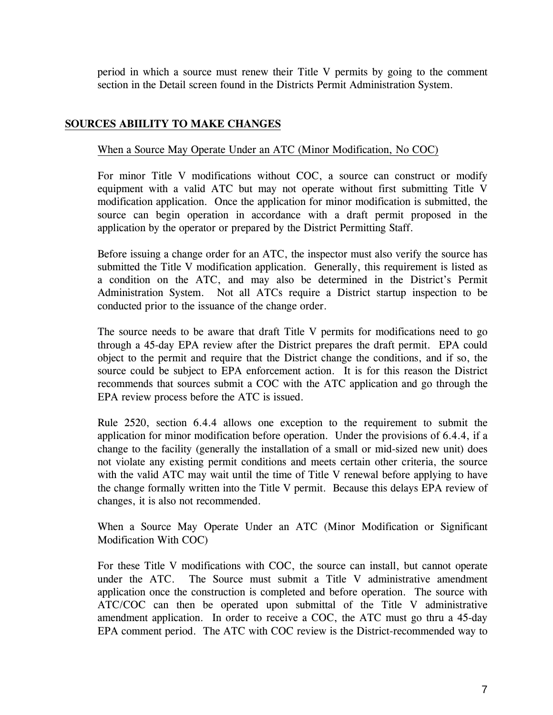period in which a source must renew their Title V permits by going to the comment section in the Detail screen found in the Districts Permit Administration System.

## **SOURCES ABIILITY TO MAKE CHANGES**

#### When a Source May Operate Under an ATC (Minor Modification, No COC)

For minor Title V modifications without COC, a source can construct or modify equipment with a valid ATC but may not operate without first submitting Title V modification application. Once the application for minor modification is submitted, the source can begin operation in accordance with a draft permit proposed in the application by the operator or prepared by the District Permitting Staff.

Before issuing a change order for an ATC, the inspector must also verify the source has submitted the Title V modification application. Generally, this requirement is listed as a condition on the ATC, and may also be determined in the District's Permit Administration System. Not all ATCs require a District startup inspection to be conducted prior to the issuance of the change order.

The source needs to be aware that draft Title V permits for modifications need to go through a 45-day EPA review after the District prepares the draft permit. EPA could object to the permit and require that the District change the conditions, and if so, the source could be subject to EPA enforcement action. It is for this reason the District recommends that sources submit a COC with the ATC application and go through the EPA review process before the ATC is issued.

Rule 2520, section 6.4.4 allows one exception to the requirement to submit the application for minor modification before operation. Under the provisions of 6.4.4, if a change to the facility (generally the installation of a small or mid-sized new unit) does not violate any existing permit conditions and meets certain other criteria, the source with the valid ATC may wait until the time of Title V renewal before applying to have the change formally written into the Title V permit. Because this delays EPA review of changes, it is also not recommended.

When a Source May Operate Under an ATC (Minor Modification or Significant Modification With COC)

For these Title V modifications with COC, the source can install, but cannot operate under the ATC. The Source must submit a Title V administrative amendment application once the construction is completed and before operation. The source with ATC/COC can then be operated upon submittal of the Title V administrative amendment application. In order to receive a COC, the ATC must go thru a 45-day EPA comment period. The ATC with COC review is the District-recommended way to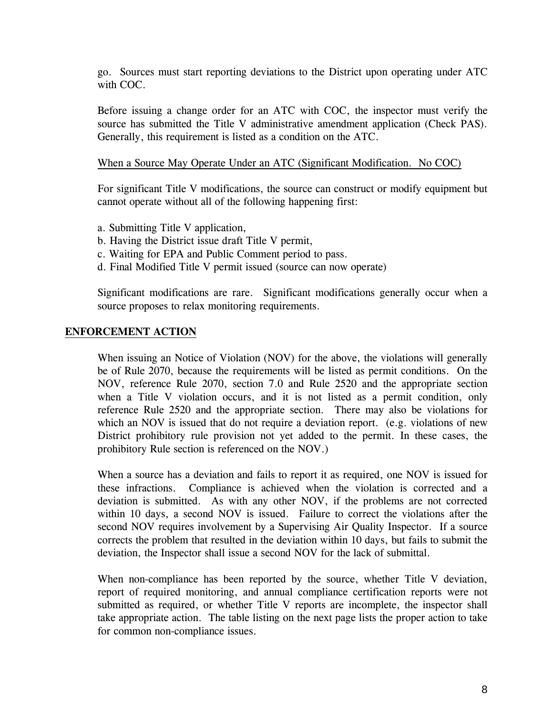go. Sources must start reporting deviations to the District upon operating under ATC with COC.

Before issuing a change order for an ATC with COC, the inspector must verify the source has submitted the Title V administrative amendment application (Check PAS). Generally, this requirement is listed as a condition on the ATC.

#### When a Source May Operate Under an ATC (Significant Modification. No COC)

For significant Title V modifications, the source can construct or modify equipment but cannot operate without all of the following happening first:

- a. Submitting Title V application,
- b. Having the District issue draft Title V permit,
- c. Waiting for EPA and Public Comment period to pass.
- d. Final Modified Title V permit issued (source can now operate)

Significant modifications are rare. Significant modifications generally occur when a source proposes to relax monitoring requirements.

#### **ENFORCEMENT ACTION**

When issuing an Notice of Violation (NOV) for the above, the violations will generally be of Rule 2070, because the requirements will be listed as permit conditions. On the NOV, reference Rule 2070, section 7.0 and Rule 2520 and the appropriate section when a Title V violation occurs, and it is not listed as a permit condition, only reference Rule 2520 and the appropriate section. There may also be violations for which an NOV is issued that do not require a deviation report. (e.g. violations of new District prohibitory rule provision not yet added to the permit. In these cases, the prohibitory Rule section is referenced on the NOV.)

When a source has a deviation and fails to report it as required, one NOV is issued for these infractions. Compliance is achieved when the violation is corrected and a deviation is submitted. As with any other NOV, if the problems are not corrected within 10 days, a second NOV is issued. Failure to correct the violations after the second NOV requires involvement by a Supervising Air Quality Inspector. If a source corrects the problem that resulted in the deviation within 10 days, but fails to submit the deviation, the Inspector shall issue a second NOV for the lack of submittal.

When non-compliance has been reported by the source, whether Title V deviation, report of required monitoring, and annual compliance certification reports were not submitted as required, or whether Title V reports are incomplete, the inspector shall take appropriate action. The table listing on the next page lists the proper action to take for common non-compliance issues.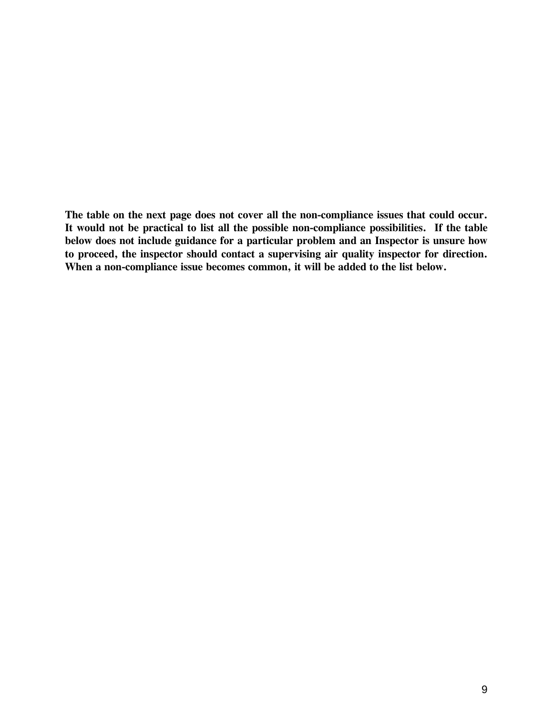**The table on the next page does not cover all the non-compliance issues that could occur. It would not be practical to list all the possible non-compliance possibilities. If the table below does not include guidance for a particular problem and an Inspector is unsure how to proceed, the inspector should contact a supervising air quality inspector for direction. When a non-compliance issue becomes common, it will be added to the list below.**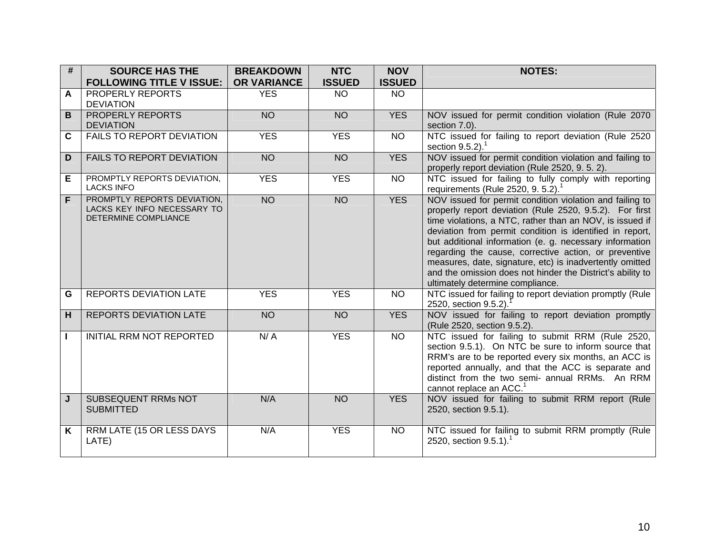| $\overline{\#}$ | <b>SOURCE HAS THE</b>                                                                     | <b>BREAKDOWN</b>   | <b>NTC</b>    | <b>NOV</b>    | <b>NOTES:</b>                                                                                                                                                                                                                                                                                                                                                                                                                                                                                                                 |
|-----------------|-------------------------------------------------------------------------------------------|--------------------|---------------|---------------|-------------------------------------------------------------------------------------------------------------------------------------------------------------------------------------------------------------------------------------------------------------------------------------------------------------------------------------------------------------------------------------------------------------------------------------------------------------------------------------------------------------------------------|
|                 | <b>FOLLOWING TITLE V ISSUE:</b>                                                           | <b>OR VARIANCE</b> | <b>ISSUED</b> | <b>ISSUED</b> |                                                                                                                                                                                                                                                                                                                                                                                                                                                                                                                               |
| A               | PROPERLY REPORTS<br><b>DEVIATION</b>                                                      | <b>YES</b>         | <b>NO</b>     | <b>NO</b>     |                                                                                                                                                                                                                                                                                                                                                                                                                                                                                                                               |
| B               | <b>PROPERLY REPORTS</b><br><b>DEVIATION</b>                                               | <b>NO</b>          | <b>NO</b>     | <b>YES</b>    | NOV issued for permit condition violation (Rule 2070<br>section 7.0).                                                                                                                                                                                                                                                                                                                                                                                                                                                         |
| $\mathbf{C}$    | <b>FAILS TO REPORT DEVIATION</b>                                                          | <b>YES</b>         | <b>YES</b>    | <b>NO</b>     | NTC issued for failing to report deviation (Rule 2520<br>section $9.5.2$ ). <sup>1</sup>                                                                                                                                                                                                                                                                                                                                                                                                                                      |
| D               | <b>FAILS TO REPORT DEVIATION</b>                                                          | <b>NO</b>          | <b>NO</b>     | <b>YES</b>    | NOV issued for permit condition violation and failing to<br>properly report deviation (Rule 2520, 9. 5. 2).                                                                                                                                                                                                                                                                                                                                                                                                                   |
| Е               | PROMPTLY REPORTS DEVIATION,<br><b>LACKS INFO</b>                                          | <b>YES</b>         | <b>YES</b>    | <b>NO</b>     | NTC issued for failing to fully comply with reporting<br>requirements (Rule 2520, 9. 5.2). <sup>1</sup>                                                                                                                                                                                                                                                                                                                                                                                                                       |
| F.              | PROMPTLY REPORTS DEVIATION,<br>LACKS KEY INFO NECESSARY TO<br><b>DETERMINE COMPLIANCE</b> | NO <sub>1</sub>    | <b>NO</b>     | <b>YES</b>    | NOV issued for permit condition violation and failing to<br>properly report deviation (Rule 2520, 9.5.2). For first<br>time violations, a NTC, rather than an NOV, is issued if<br>deviation from permit condition is identified in report,<br>but additional information (e. g. necessary information<br>regarding the cause, corrective action, or preventive<br>measures, date, signature, etc) is inadvertently omitted<br>and the omission does not hinder the District's ability to<br>ultimately determine compliance. |
| G               | <b>REPORTS DEVIATION LATE</b>                                                             | <b>YES</b>         | <b>YES</b>    | <b>NO</b>     | NTC issued for failing to report deviation promptly (Rule<br>2520, section 9.5.2).                                                                                                                                                                                                                                                                                                                                                                                                                                            |
| H               | <b>REPORTS DEVIATION LATE</b>                                                             | <b>NO</b>          | <b>NO</b>     | <b>YES</b>    | NOV issued for failing to report deviation promptly<br>(Rule 2520, section 9.5.2).                                                                                                                                                                                                                                                                                                                                                                                                                                            |
|                 | INITIAL RRM NOT REPORTED                                                                  | N/A                | <b>YES</b>    | <b>NO</b>     | NTC issued for failing to submit RRM (Rule 2520,<br>section 9.5.1). On NTC be sure to inform source that<br>RRM's are to be reported every six months, an ACC is<br>reported annually, and that the ACC is separate and<br>distinct from the two semi- annual RRMs. An RRM<br>cannot replace an ACC. <sup>1</sup>                                                                                                                                                                                                             |
| J               | <b>SUBSEQUENT RRMs NOT</b><br><b>SUBMITTED</b>                                            | N/A                | <b>NO</b>     | <b>YES</b>    | NOV issued for failing to submit RRM report (Rule<br>2520, section 9.5.1).                                                                                                                                                                                                                                                                                                                                                                                                                                                    |
| K               | RRM LATE (15 OR LESS DAYS<br>LATE)                                                        | N/A                | <b>YES</b>    | <b>NO</b>     | NTC issued for failing to submit RRM promptly (Rule<br>2520, section $9.5.1$ ).                                                                                                                                                                                                                                                                                                                                                                                                                                               |